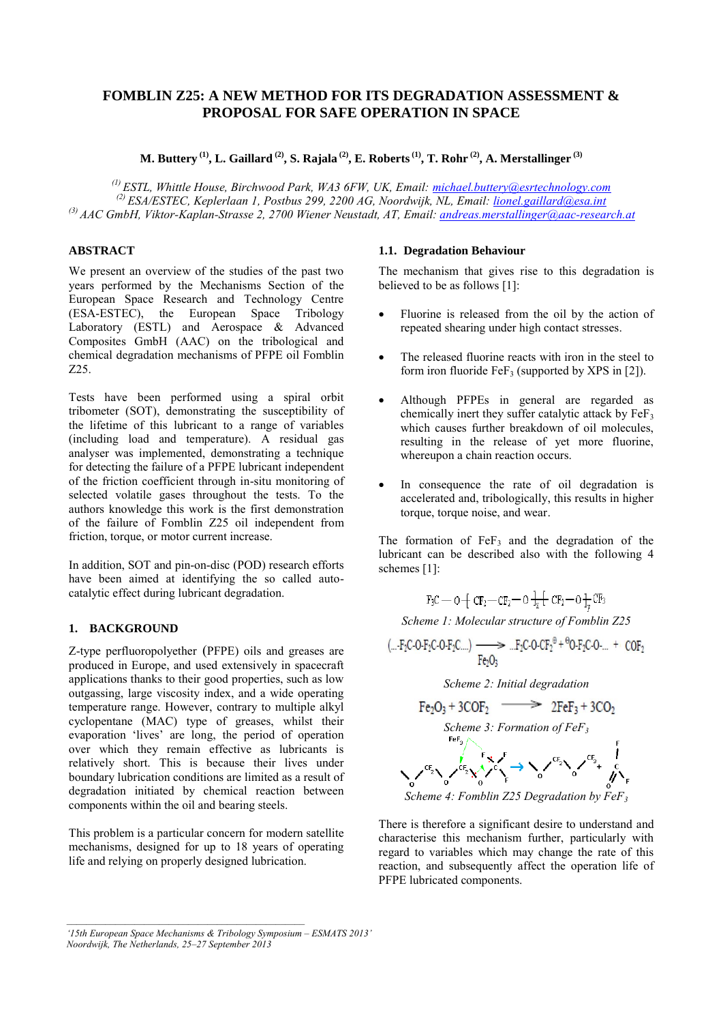# **FOMBLIN Z25: A NEW METHOD FOR ITS DEGRADATION ASSESSMENT & PROPOSAL FOR SAFE OPERATION IN SPACE**

**M. Buttery (1) , L. Gaillard (2) , S. Rajala (2) , E. Roberts(1) , T. Rohr (2) , A. Merstallinger (3)**

*(1) ESTL, Whittle House, Birchwood Park, WA3 6FW, UK, Email: [michael.buttery@esrtechnology.com](mailto:michael.buttery@esrtechnology.com) (2) ESA/ESTEC, Keplerlaan 1, Postbus 299, 2200 AG, Noordwijk, NL, Email: [lionel.gaillard@esa.int](mailto:lionel.gaillard@esa.int) (3) AAC GmbH, Viktor-Kaplan-Strasse 2, 2700 Wiener Neustadt, AT, Email: [andreas.merstallinger@aac-research.at](mailto:andreas.merstallinger@aac-research.at)*

## **ABSTRACT**

We present an overview of the studies of the past two years performed by the Mechanisms Section of the European Space Research and Technology Centre (ESA-ESTEC), the European Space Tribology Laboratory (ESTL) and Aerospace & Advanced Composites GmbH (AAC) on the tribological and chemical degradation mechanisms of PFPE oil Fomblin Z25.

Tests have been performed using a spiral orbit tribometer (SOT), demonstrating the susceptibility of the lifetime of this lubricant to a range of variables (including load and temperature). A residual gas analyser was implemented, demonstrating a technique for detecting the failure of a PFPE lubricant independent of the friction coefficient through in-situ monitoring of selected volatile gases throughout the tests. To the authors knowledge this work is the first demonstration of the failure of Fomblin Z25 oil independent from friction, torque, or motor current increase.

In addition, SOT and pin-on-disc (POD) research efforts have been aimed at identifying the so called autocatalytic effect during lubricant degradation.

## **1. BACKGROUND**

Z-type perfluoropolyether (PFPE) oils and greases are produced in Europe, and used extensively in spacecraft applications thanks to their good properties, such as low outgassing, large viscosity index, and a wide operating temperature range. However, contrary to multiple alkyl cyclopentane (MAC) type of greases, whilst their evaporation 'lives' are long, the period of operation over which they remain effective as lubricants is relatively short. This is because their lives under boundary lubrication conditions are limited as a result of degradation initiated by chemical reaction between components within the oil and bearing steels.

This problem is a particular concern for modern satellite mechanisms, designed for up to 18 years of operating life and relying on properly designed lubrication.

## **1.1. Degradation Behaviour**

The mechanism that gives rise to this degradation is believed to be as follows [1]:

- Fluorine is released from the oil by the action of repeated shearing under high contact stresses.
- The released fluorine reacts with iron in the steel to form iron fluoride FeF<sub>3</sub> (supported by XPS in [2]).
- Although PFPEs in general are regarded as chemically inert they suffer catalytic attack by  $\overline{FeF_3}$ which causes further breakdown of oil molecules, resulting in the release of yet more fluorine, whereupon a chain reaction occurs.
- In consequence the rate of oil degradation is accelerated and, tribologically, this results in higher torque, torque noise, and wear.

The formation of  $FeF<sub>3</sub>$  and the degradation of the lubricant can be described also with the following 4 schemes [1]:

$$
F_3C \longrightarrow O \not\equiv CF_2 \quad \text{CF}_2 \longrightarrow O \not\stackrel{1}{\to} C F_2 \longrightarrow O \not\stackrel{1}{\to} C F_3
$$

*Scheme 1: Molecular structure of Fomblin Z25*

$$
(...F_2C \cdot O \cdot F_2C \cdot O \cdot F_2C ...)
$$
  

$$
= ...F_2C \cdot O \cdot CF_2^{\theta} + {}^{\Theta}O \cdot F_2C \cdot O ... + COF_2
$$
  

$$
Fe_2O_3
$$



*Scheme 4: Fomblin Z25 Degradation by FeF<sup>3</sup>*

There is therefore a significant desire to understand and characterise this mechanism further, particularly with regard to variables which may change the rate of this reaction, and subsequently affect the operation life of PFPE lubricated components.

*<sup>&#</sup>x27;15th European Space Mechanisms & Tribology Symposium – ESMATS 2013' Noordwijk, The Netherlands, 25–27 September 2013*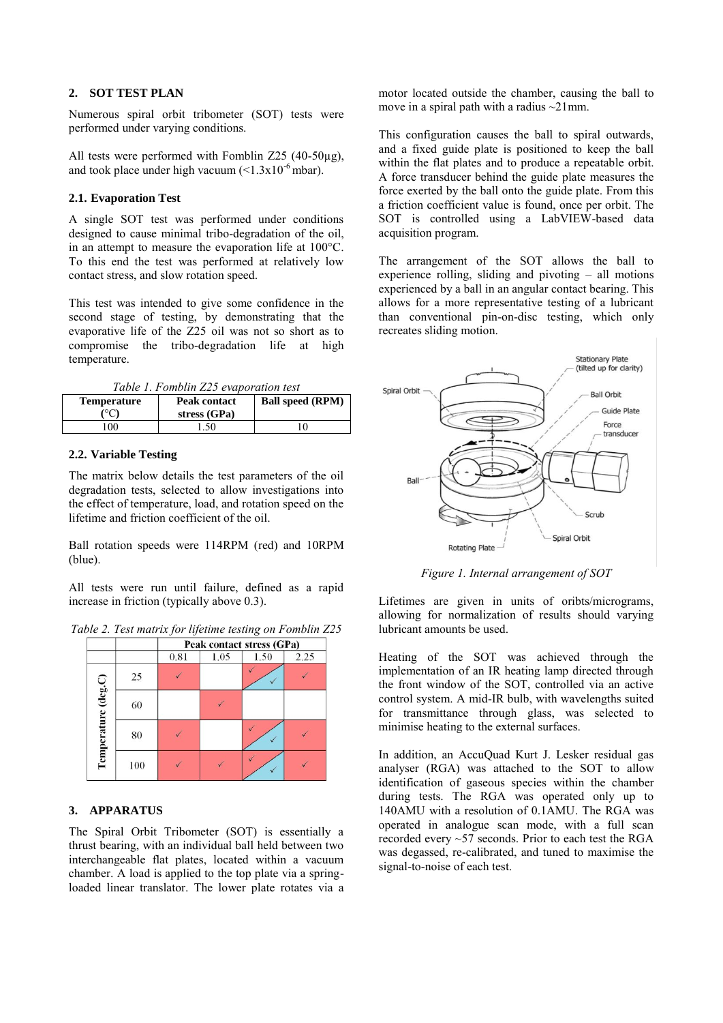## **2. SOT TEST PLAN**

Numerous spiral orbit tribometer (SOT) tests were performed under varying conditions.

All tests were performed with Fomblin Z25 (40-50µg), and took place under high vacuum  $(<1.3x10^{-6}$  mbar).

## **2.1. Evaporation Test**

A single SOT test was performed under conditions designed to cause minimal tribo-degradation of the oil, in an attempt to measure the evaporation life at 100°C. To this end the test was performed at relatively low contact stress, and slow rotation speed.

This test was intended to give some confidence in the second stage of testing, by demonstrating that the evaporative life of the Z25 oil was not so short as to compromise the tribo-degradation life at high temperature.

*Table 1. Fomblin Z25 evaporation test* 

| Temperature | <b>Peak contact</b><br>stress (GPa) | <b>Ball speed (RPM)</b> |
|-------------|-------------------------------------|-------------------------|
| 00          | 1.50                                | ١O                      |

## **2.2. Variable Testing**

The matrix below details the test parameters of the oil degradation tests, selected to allow investigations into the effect of temperature, load, and rotation speed on the lifetime and friction coefficient of the oil.

Ball rotation speeds were 114RPM (red) and 10RPM (blue).

All tests were run until failure, defined as a rapid increase in friction (typically above 0.3).

*Table 2. Test matrix for lifetime testing on Fomblin Z25* 



## **3. APPARATUS**

The Spiral Orbit Tribometer (SOT) is essentially a thrust bearing, with an individual ball held between two interchangeable flat plates, located within a vacuum chamber. A load is applied to the top plate via a springloaded linear translator. The lower plate rotates via a motor located outside the chamber, causing the ball to move in a spiral path with a radius ~21mm.

This configuration causes the ball to spiral outwards, and a fixed guide plate is positioned to keep the ball within the flat plates and to produce a repeatable orbit. A force transducer behind the guide plate measures the force exerted by the ball onto the guide plate. From this a friction coefficient value is found, once per orbit. The SOT is controlled using a LabVIEW-based data acquisition program.

The arrangement of the SOT allows the ball to experience rolling, sliding and pivoting – all motions experienced by a ball in an angular contact bearing. This allows for a more representative testing of a lubricant than conventional pin-on-disc testing, which only recreates sliding motion.



*Figure 1. Internal arrangement of SOT*

Lifetimes are given in units of oribts/micrograms, allowing for normalization of results should varying lubricant amounts be used.

Heating of the SOT was achieved through the implementation of an IR heating lamp directed through the front window of the SOT, controlled via an active control system. A mid-IR bulb, with wavelengths suited for transmittance through glass, was selected to minimise heating to the external surfaces.

In addition, an AccuQuad Kurt J. Lesker residual gas analyser (RGA) was attached to the SOT to allow identification of gaseous species within the chamber during tests. The RGA was operated only up to 140AMU with a resolution of 0.1AMU. The RGA was operated in analogue scan mode, with a full scan recorded every ~57 seconds. Prior to each test the RGA was degassed, re-calibrated, and tuned to maximise the signal-to-noise of each test.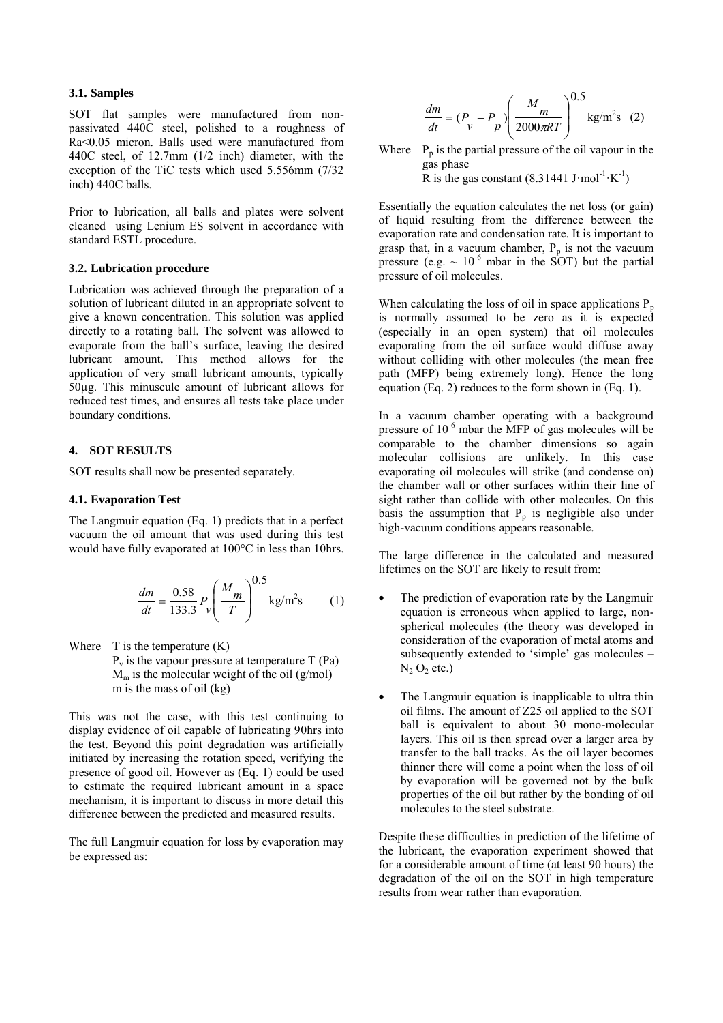### **3.1. Samples**

SOT flat samples were manufactured from nonpassivated 440C steel, polished to a roughness of Ra<0.05 micron. Balls used were manufactured from 440C steel, of 12.7mm (1/2 inch) diameter, with the exception of the TiC tests which used 5.556mm (7/32 inch) 440C balls.

Prior to lubrication, all balls and plates were solvent cleaned using Lenium ES solvent in accordance with standard ESTL procedure.

#### **3.2. Lubrication procedure**

Lubrication was achieved through the preparation of a solution of lubricant diluted in an appropriate solvent to give a known concentration. This solution was applied directly to a rotating ball. The solvent was allowed to evaporate from the ball's surface, leaving the desired lubricant amount. This method allows for the application of very small lubricant amounts, typically 50µg. This minuscule amount of lubricant allows for reduced test times, and ensures all tests take place under boundary conditions.

## **4. SOT RESULTS**

SOT results shall now be presented separately.

#### **4.1. Evaporation Test**

The Langmuir equation (Eq. 1) predicts that in a perfect vacuum the oil amount that was used during this test would have fully evaporated at 100°C in less than 10hrs.

$$
\frac{dm}{dt} = \frac{0.58}{133.3} P_v \left(\frac{M_m}{T}\right)^{0.5} \text{kg/m}^2 \text{s} \qquad (1)
$$

Where  $T$  is the temperature  $(K)$  $P<sub>v</sub>$  is the vapour pressure at temperature T (Pa)  $M<sub>m</sub>$  is the molecular weight of the oil (g/mol)

m is the mass of oil (kg)

This was not the case, with this test continuing to display evidence of oil capable of lubricating 90hrs into the test. Beyond this point degradation was artificially initiated by increasing the rotation speed, verifying the presence of good oil. However as (Eq. 1) could be used to estimate the required lubricant amount in a space mechanism, it is important to discuss in more detail this difference between the predicted and measured results.

The full Langmuir equation for loss by evaporation may be expressed as:

$$
\frac{dm}{dt} = (P_v - P_p) \left(\frac{M_m}{2000\pi RT}\right)^{0.5} \text{kg/m}^2\text{s} \quad (2)
$$

Where  $P_p$  is the partial pressure of the oil vapour in the gas phase R is the gas constant  $(8.31441 \text{ J} \cdot \text{mol}^{-1} \cdot \text{K}^{-1})$ 

Essentially the equation calculates the net loss (or gain) of liquid resulting from the difference between the evaporation rate and condensation rate. It is important to grasp that, in a vacuum chamber,  $P_p$  is not the vacuum pressure (e.g.  $\sim 10^{-6}$  mbar in the SOT) but the partial pressure of oil molecules.

When calculating the loss of oil in space applications  $P_p$ is normally assumed to be zero as it is expected (especially in an open system) that oil molecules evaporating from the oil surface would diffuse away without colliding with other molecules (the mean free path (MFP) being extremely long). Hence the long equation (Eq. 2) reduces to the form shown in (Eq. 1).

In a vacuum chamber operating with a background pressure of  $10^{-6}$  mbar the MFP of gas molecules will be comparable to the chamber dimensions so again molecular collisions are unlikely. In this case evaporating oil molecules will strike (and condense on) the chamber wall or other surfaces within their line of sight rather than collide with other molecules. On this basis the assumption that  $P_p$  is negligible also under high-vacuum conditions appears reasonable.

The large difference in the calculated and measured lifetimes on the SOT are likely to result from:

- The prediction of evaporation rate by the Langmuir equation is erroneous when applied to large, nonspherical molecules (the theory was developed in consideration of the evaporation of metal atoms and subsequently extended to 'simple' gas molecules –  $N_2 O_2$  etc.)
- The Langmuir equation is inapplicable to ultra thin oil films. The amount of Z25 oil applied to the SOT ball is equivalent to about 30 mono-molecular layers. This oil is then spread over a larger area by transfer to the ball tracks. As the oil layer becomes thinner there will come a point when the loss of oil by evaporation will be governed not by the bulk properties of the oil but rather by the bonding of oil molecules to the steel substrate.

Despite these difficulties in prediction of the lifetime of the lubricant, the evaporation experiment showed that for a considerable amount of time (at least 90 hours) the degradation of the oil on the SOT in high temperature results from wear rather than evaporation.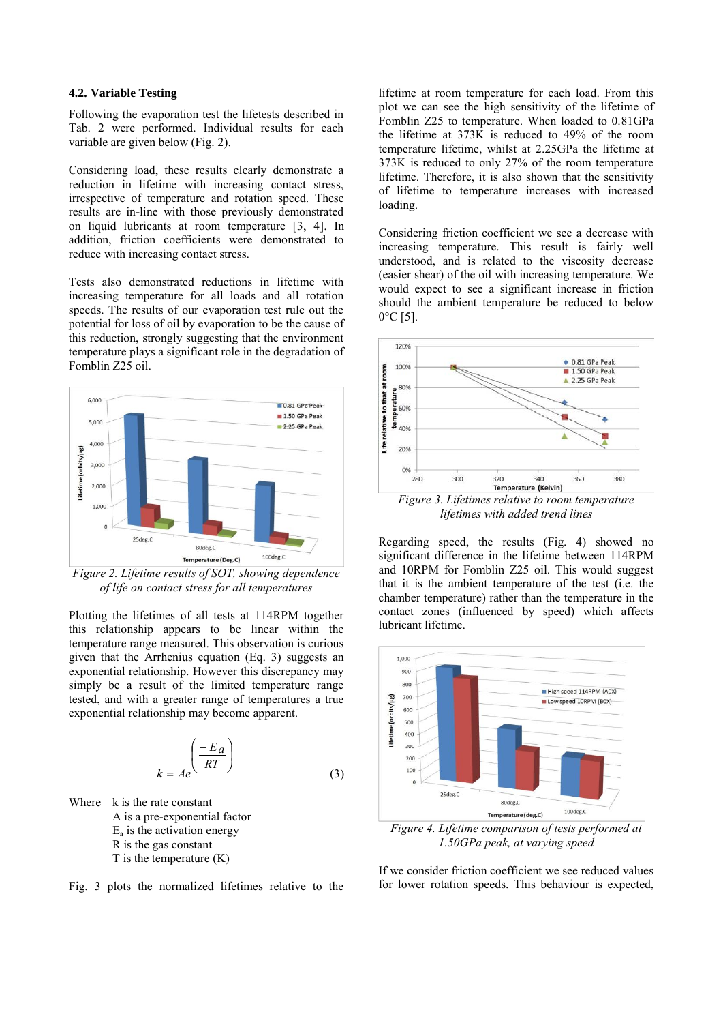#### **4.2. Variable Testing**

Following the evaporation test the lifetests described in Tab. 2 were performed. Individual results for each variable are given below (Fig. 2).

Considering load, these results clearly demonstrate a reduction in lifetime with increasing contact stress, irrespective of temperature and rotation speed. These results are in-line with those previously demonstrated on liquid lubricants at room temperature [3, 4]. In addition, friction coefficients were demonstrated to reduce with increasing contact stress.

Tests also demonstrated reductions in lifetime with increasing temperature for all loads and all rotation speeds. The results of our evaporation test rule out the potential for loss of oil by evaporation to be the cause of this reduction, strongly suggesting that the environment temperature plays a significant role in the degradation of Fomblin Z25 oil.



*Figure 2. Lifetime results of SOT, showing dependence of life on contact stress for all temperatures*

Plotting the lifetimes of all tests at 114RPM together this relationship appears to be linear within the temperature range measured. This observation is curious given that the Arrhenius equation (Eq. 3) suggests an exponential relationship. However this discrepancy may simply be a result of the limited temperature range tested, and with a greater range of temperatures a true exponential relationship may become apparent.

$$
k = Ae \left(\frac{-E_a}{RT}\right)
$$
 (3)

Where k is the rate constant A is a pre-exponential factor  $E_a$  is the activation energy R is the gas constant  $T$  is the temperature  $(K)$ 

Fig. 3 plots the normalized lifetimes relative to the

lifetime at room temperature for each load. From this plot we can see the high sensitivity of the lifetime of Fomblin Z25 to temperature. When loaded to 0.81GPa the lifetime at 373K is reduced to 49% of the room temperature lifetime, whilst at 2.25GPa the lifetime at 373K is reduced to only 27% of the room temperature lifetime. Therefore, it is also shown that the sensitivity of lifetime to temperature increases with increased loading.

Considering friction coefficient we see a decrease with increasing temperature. This result is fairly well understood, and is related to the viscosity decrease (easier shear) of the oil with increasing temperature. We would expect to see a significant increase in friction should the ambient temperature be reduced to below  $0^{\circ}$ C [5].



Regarding speed, the results (Fig. 4) showed no significant difference in the lifetime between 114RPM and 10RPM for Fomblin Z25 oil. This would suggest that it is the ambient temperature of the test (i.e. the chamber temperature) rather than the temperature in the contact zones (influenced by speed) which affects lubricant lifetime.



*1.50GPa peak, at varying speed*

If we consider friction coefficient we see reduced values for lower rotation speeds. This behaviour is expected,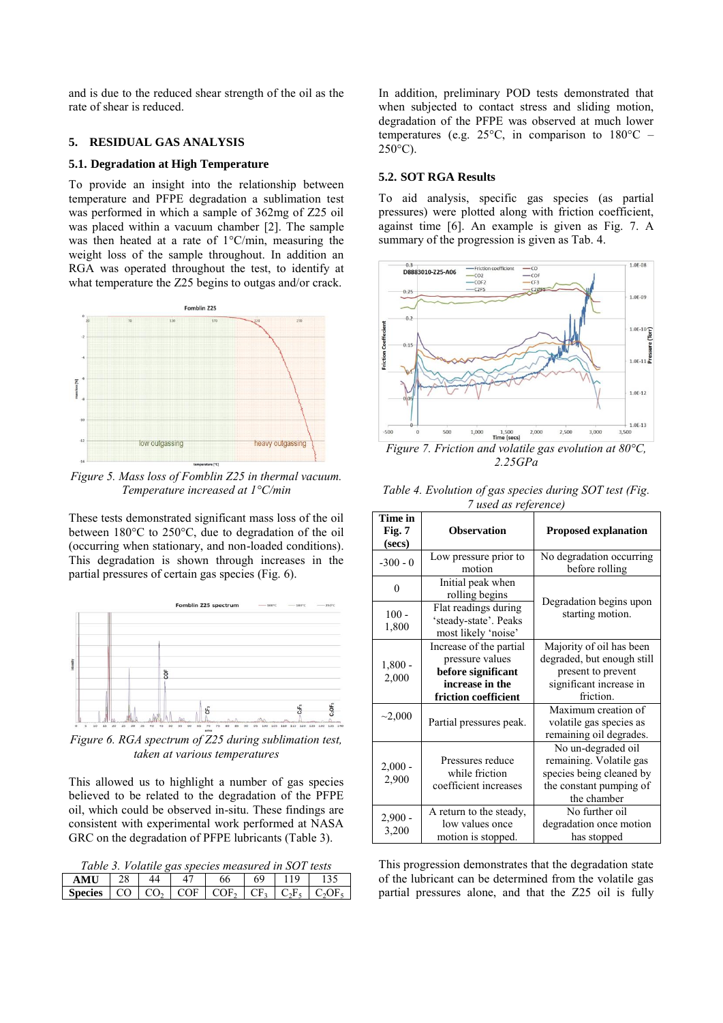and is due to the reduced shear strength of the oil as the rate of shear is reduced.

## **5. RESIDUAL GAS ANALYSIS**

### **5.1. Degradation at High Temperature**

To provide an insight into the relationship between temperature and PFPE degradation a sublimation test was performed in which a sample of 362mg of Z25 oil was placed within a vacuum chamber [2]. The sample was then heated at a rate of 1°C/min, measuring the weight loss of the sample throughout. In addition an RGA was operated throughout the test, to identify at what temperature the Z25 begins to outgas and/or crack.



*Figure 5. Mass loss of Fomblin Z25 in thermal vacuum. Temperature increased at 1°C/min*

These tests demonstrated significant mass loss of the oil between 180°C to 250°C, due to degradation of the oil (occurring when stationary, and non-loaded conditions). This degradation is shown through increases in the partial pressures of certain gas species (Fig. 6).



*Figure 6. RGA spectrum of Z25 during sublimation test, taken at various temperatures*

This allowed us to highlight a number of gas species believed to be related to the degradation of the PFPE oil, which could be observed in-situ. These findings are consistent with experimental work performed at NASA GRC on the degradation of PFPE lubricants (Table 3).

*Table 3. Volatile gas species measured in SOT tests*

| <b>AMI</b>     |          | Æ          | bb                  |             |                |  |
|----------------|----------|------------|---------------------|-------------|----------------|--|
| <b>Species</b> | $\Omega$ | <b>COE</b> | $\overline{C}$ COE. | $C_{\rm E}$ | $\mathbb{R}^n$ |  |

In addition, preliminary POD tests demonstrated that when subjected to contact stress and sliding motion, degradation of the PFPE was observed at much lower temperatures (e.g. 25°C, in comparison to 180°C –  $250^{\circ}$ C).

#### **5.2. SOT RGA Results**

To aid analysis, specific gas species (as partial pressures) were plotted along with friction coefficient, against time [6]. An example is given as Fig. 7. A summary of the progression is given as Tab. 4.



*2.25GPa*

*Table 4. Evolution of gas species during SOT test (Fig. 7 used as reference)*

| useu us rejerence)          |                                                                      |                                                                                                                     |  |  |  |
|-----------------------------|----------------------------------------------------------------------|---------------------------------------------------------------------------------------------------------------------|--|--|--|
| Time in<br>Fig. 7<br>(secs) | <b>Observation</b>                                                   | <b>Proposed explanation</b>                                                                                         |  |  |  |
| $-300 - 0$                  | Low pressure prior to<br>motion                                      | No degradation occurring<br>before rolling                                                                          |  |  |  |
| $\theta$                    | Initial peak when<br>rolling begins                                  | Degradation begins upon                                                                                             |  |  |  |
| $100 -$<br>1,800            | Flat readings during<br>'steady-state'. Peaks<br>most likely 'noise' | starting motion.                                                                                                    |  |  |  |
|                             | Increase of the partial                                              | Majority of oil has been                                                                                            |  |  |  |
| $1,800 -$<br>2,000          | pressure values                                                      | degraded, but enough still                                                                                          |  |  |  |
|                             | before significant                                                   | present to prevent                                                                                                  |  |  |  |
|                             | increase in the                                                      | significant increase in                                                                                             |  |  |  |
|                             | friction coefficient                                                 | friction.                                                                                                           |  |  |  |
| $\sim$ 2,000                | Partial pressures peak.                                              | Maximum creation of<br>volatile gas species as<br>remaining oil degrades.                                           |  |  |  |
| $2,000 -$<br>2,900          | Pressures reduce<br>while friction<br>coefficient increases          | No un-degraded oil<br>remaining. Volatile gas<br>species being cleaned by<br>the constant pumping of<br>the chamber |  |  |  |
| $2,900 -$<br>3,200          | A return to the steady,<br>low values once<br>motion is stopped.     | No further oil<br>degradation once motion<br>has stopped                                                            |  |  |  |

This progression demonstrates that the degradation state of the lubricant can be determined from the volatile gas partial pressures alone, and that the Z25 oil is fully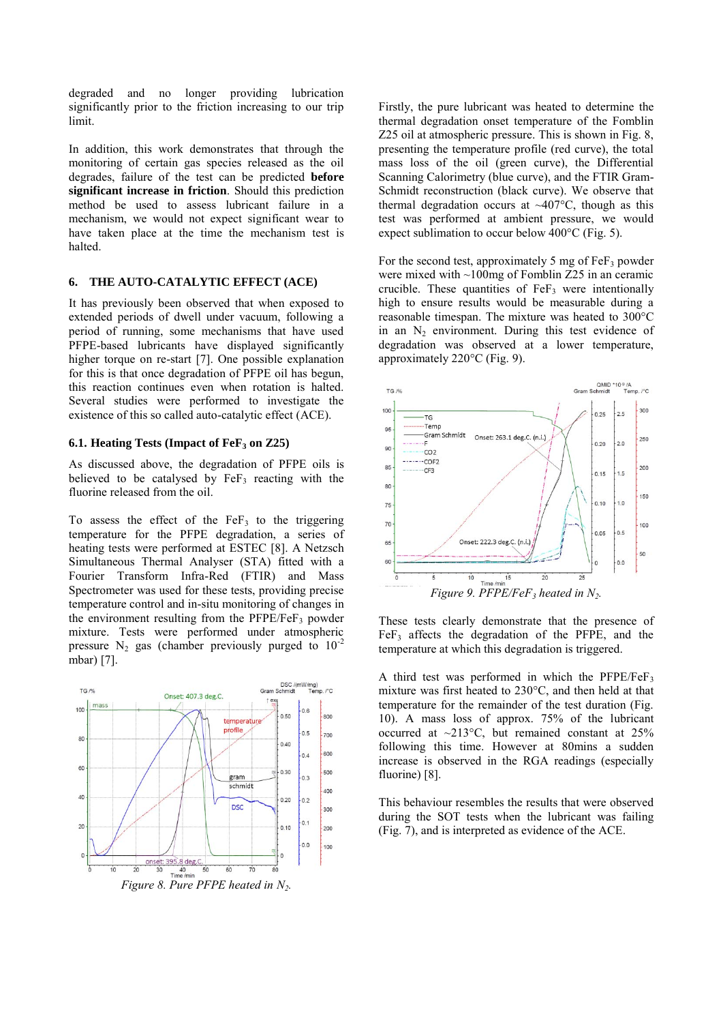degraded and no longer providing lubrication significantly prior to the friction increasing to our trip limit.

In addition, this work demonstrates that through the monitoring of certain gas species released as the oil degrades, failure of the test can be predicted **before significant increase in friction**. Should this prediction method be used to assess lubricant failure in a mechanism, we would not expect significant wear to have taken place at the time the mechanism test is halted.

### **6. THE AUTO-CATALYTIC EFFECT (ACE)**

It has previously been observed that when exposed to extended periods of dwell under vacuum, following a period of running, some mechanisms that have used PFPE-based lubricants have displayed significantly higher torque on re-start [7]. One possible explanation for this is that once degradation of PFPE oil has begun, this reaction continues even when rotation is halted. Several studies were performed to investigate the existence of this so called auto-catalytic effect (ACE).

### **6.1. Heating Tests (Impact of FeF3 on Z25)**

As discussed above, the degradation of PFPE oils is believed to be catalysed by  $FeF<sub>3</sub>$  reacting with the fluorine released from the oil.

To assess the effect of the  $FeF<sub>3</sub>$  to the triggering temperature for the PFPE degradation, a series of heating tests were performed at ESTEC [8]. A Netzsch Simultaneous Thermal Analyser (STA) fitted with a Fourier Transform Infra-Red (FTIR) and Mass Spectrometer was used for these tests, providing precise temperature control and in-situ monitoring of changes in the environment resulting from the  $PFPE/FeF<sub>3</sub>$  powder mixture. Tests were performed under atmospheric pressure  $N_2$  gas (chamber previously purged to  $10^{-2}$ mbar) [7].



Firstly, the pure lubricant was heated to determine the thermal degradation onset temperature of the Fomblin Z25 oil at atmospheric pressure. This is shown in Fig. 8, presenting the temperature profile (red curve), the total mass loss of the oil (green curve), the Differential Scanning Calorimetry (blue curve), and the FTIR Gram-Schmidt reconstruction (black curve). We observe that thermal degradation occurs at  $\sim$ 407°C, though as this test was performed at ambient pressure, we would expect sublimation to occur below 400°C (Fig. 5).

For the second test, approximately 5 mg of  $\text{FeF}_3$  powder were mixed with ~100mg of Fomblin Z25 in an ceramic crucible. These quantities of  $\text{FeF}_3$  were intentionally high to ensure results would be measurable during a reasonable timespan. The mixture was heated to 300°C in an  $N_2$  environment. During this test evidence of degradation was observed at a lower temperature, approximately 220°C (Fig. 9).



These tests clearly demonstrate that the presence of  $FeF<sub>3</sub>$  affects the degradation of the PFPE, and the temperature at which this degradation is triggered.

A third test was performed in which the  $PFPE/FeF<sub>3</sub>$ mixture was first heated to 230°C, and then held at that temperature for the remainder of the test duration (Fig. 10). A mass loss of approx. 75% of the lubricant occurred at  $\sim$ 213°C, but remained constant at 25% following this time. However at 80mins a sudden increase is observed in the RGA readings (especially fluorine) [8].

This behaviour resembles the results that were observed during the SOT tests when the lubricant was failing (Fig. 7), and is interpreted as evidence of the ACE.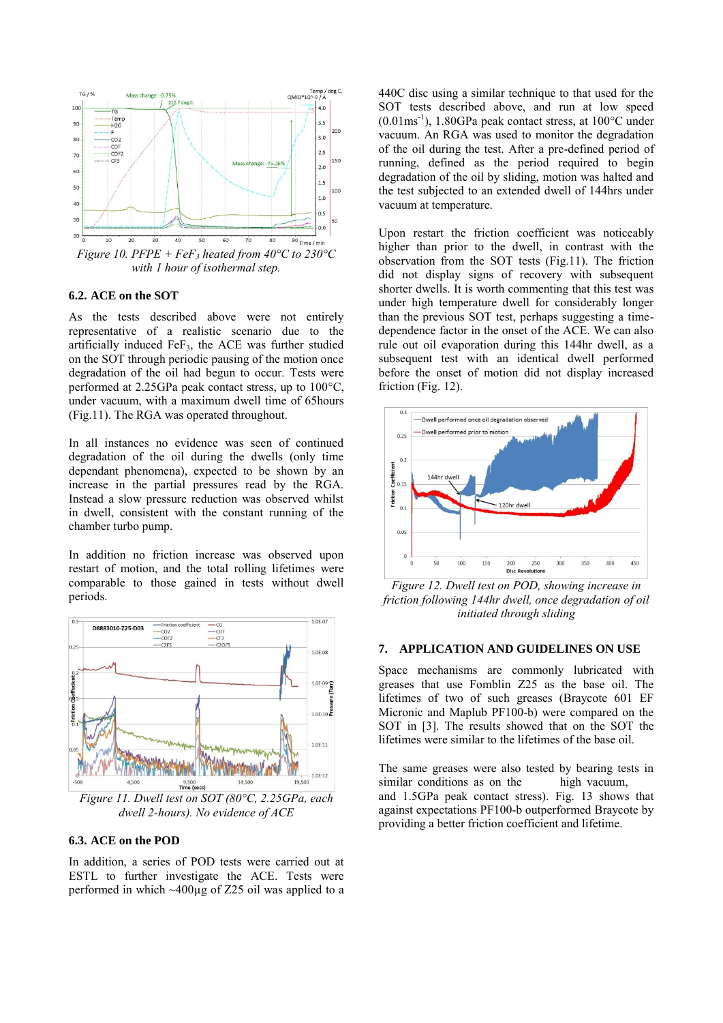

#### **6.2. ACE on the SOT**

As the tests described above were not entirely representative of a realistic scenario due to the artificially induced Fe $F_3$ , the ACE was further studied on the SOT through periodic pausing of the motion once degradation of the oil had begun to occur. Tests were performed at 2.25GPa peak contact stress, up to 100°C, under vacuum, with a maximum dwell time of 65hours (Fig.11). The RGA was operated throughout.

In all instances no evidence was seen of continued degradation of the oil during the dwells (only time dependant phenomena), expected to be shown by an increase in the partial pressures read by the RGA. Instead a slow pressure reduction was observed whilst in dwell, consistent with the constant running of the chamber turbo pump.

In addition no friction increase was observed upon restart of motion, and the total rolling lifetimes were comparable to those gained in tests without dwell periods.



*Figure 11. Dwell test on SOT (80°C, 2.25GPa, each dwell 2-hours). No evidence of ACE*

### **6.3. ACE on the POD**

In addition, a series of POD tests were carried out at ESTL to further investigate the ACE. Tests were performed in which  $\sim$ 400 $\mu$ g of Z25 oil was applied to a 440C disc using a similar technique to that used for the SOT tests described above, and run at low speed  $(0.01 \text{ms}^{-1})$ , 1.80GPa peak contact stress, at 100 $^{\circ}$ C under vacuum. An RGA was used to monitor the degradation of the oil during the test. After a pre-defined period of running, defined as the period required to begin degradation of the oil by sliding, motion was halted and the test subjected to an extended dwell of 144hrs under vacuum at temperature.

Upon restart the friction coefficient was noticeably higher than prior to the dwell, in contrast with the observation from the SOT tests (Fig.11). The friction did not display signs of recovery with subsequent shorter dwells. It is worth commenting that this test was under high temperature dwell for considerably longer than the previous SOT test, perhaps suggesting a timedependence factor in the onset of the ACE. We can also rule out oil evaporation during this 144hr dwell, as a subsequent test with an identical dwell performed before the onset of motion did not display increased friction (Fig. 12).



*Figure 12. Dwell test on POD, showing increase in friction following 144hr dwell, once degradation of oil initiated through sliding* 

### **7. APPLICATION AND GUIDELINES ON USE**

Space mechanisms are commonly lubricated with greases that use Fomblin Z25 as the base oil. The lifetimes of two of such greases (Braycote 601 EF Micronic and Maplub PF100-b) were compared on the SOT in [3]. The results showed that on the SOT the lifetimes were similar to the lifetimes of the base oil.

The same greases were also tested by bearing tests in similar conditions as on the high vacuum, and 1.5GPa peak contact stress). Fig. 13 shows that against expectations PF100-b outperformed Braycote by providing a better friction coefficient and lifetime.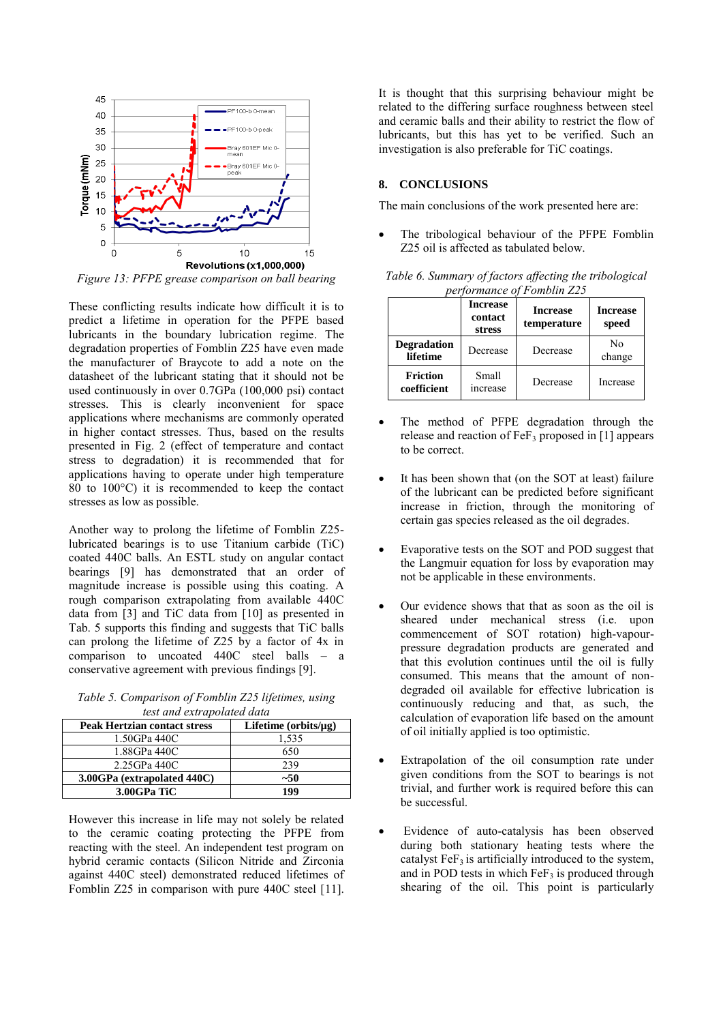

*Figure 13: PFPE grease comparison on ball bearing* 

These conflicting results indicate how difficult it is to predict a lifetime in operation for the PFPE based lubricants in the boundary lubrication regime. The degradation properties of Fomblin Z25 have even made the manufacturer of Braycote to add a note on the datasheet of the lubricant stating that it should not be used continuously in over 0.7GPa (100,000 psi) contact stresses. This is clearly inconvenient for space applications where mechanisms are commonly operated in higher contact stresses. Thus, based on the results presented in Fig. 2 (effect of temperature and contact stress to degradation) it is recommended that for applications having to operate under high temperature 80 to 100°C) it is recommended to keep the contact stresses as low as possible.

Another way to prolong the lifetime of Fomblin Z25 lubricated bearings is to use Titanium carbide (TiC) coated 440C balls. An ESTL study on angular contact bearings [9] has demonstrated that an order of magnitude increase is possible using this coating. A rough comparison extrapolating from available 440C data from [3] and TiC data from [10] as presented in Tab. 5 supports this finding and suggests that TiC balls can prolong the lifetime of Z25 by a factor of 4x in comparison to uncoated 440C steel balls – a conservative agreement with previous findings [9].

*Table 5. Comparison of Fomblin Z25 lifetimes, using test and extrapolated data*

| <b>Peak Hertzian contact stress</b> | Lifetime $(orbits/µg)$ |
|-------------------------------------|------------------------|
| 1.50GPa 440C                        | 1,535                  |
| 1.88GPa 440C                        | 650                    |
| 2.25GPa 440C                        | 239                    |
| 3.00GPa (extrapolated 440C)         | $~10-$                 |
| 3.00GPa TiC                         | 199                    |

However this increase in life may not solely be related to the ceramic coating protecting the PFPE from reacting with the steel. An independent test program on hybrid ceramic contacts (Silicon Nitride and Zirconia against 440C steel) demonstrated reduced lifetimes of Fomblin Z25 in comparison with pure 440C steel [11]. It is thought that this surprising behaviour might be related to the differing surface roughness between steel and ceramic balls and their ability to restrict the flow of lubricants, but this has yet to be verified. Such an investigation is also preferable for TiC coatings.

## **8. CONCLUSIONS**

The main conclusions of the work presented here are:

 The tribological behaviour of the PFPE Fomblin Z25 oil is affected as tabulated below.

*Table 6. Summary of factors affecting the tribological performance of Fomblin Z25* 

|                                | <b>Increase</b><br>contact<br>stress | <b>Increase</b><br>temperature | <b>Increase</b><br>speed |
|--------------------------------|--------------------------------------|--------------------------------|--------------------------|
| <b>Degradation</b><br>lifetime | Decrease                             | Decrease                       | Nο<br>change             |
| <b>Friction</b><br>coefficient | Small<br>increase                    | Decrease                       | Increase                 |

- The method of PFPE degradation through the release and reaction of  $\text{FeF}_3$  proposed in [1] appears to be correct.
- It has been shown that (on the SOT at least) failure of the lubricant can be predicted before significant increase in friction, through the monitoring of certain gas species released as the oil degrades.
- Evaporative tests on the SOT and POD suggest that the Langmuir equation for loss by evaporation may not be applicable in these environments.
- Our evidence shows that that as soon as the oil is sheared under mechanical stress (i.e. upon commencement of SOT rotation) high-vapourpressure degradation products are generated and that this evolution continues until the oil is fully consumed. This means that the amount of nondegraded oil available for effective lubrication is continuously reducing and that, as such, the calculation of evaporation life based on the amount of oil initially applied is too optimistic.
- Extrapolation of the oil consumption rate under given conditions from the SOT to bearings is not trivial, and further work is required before this can be successful.
- Evidence of auto-catalysis has been observed during both stationary heating tests where the catalyst  $FeF<sub>3</sub>$  is artificially introduced to the system, and in POD tests in which  $\text{FeF}_3$  is produced through shearing of the oil. This point is particularly